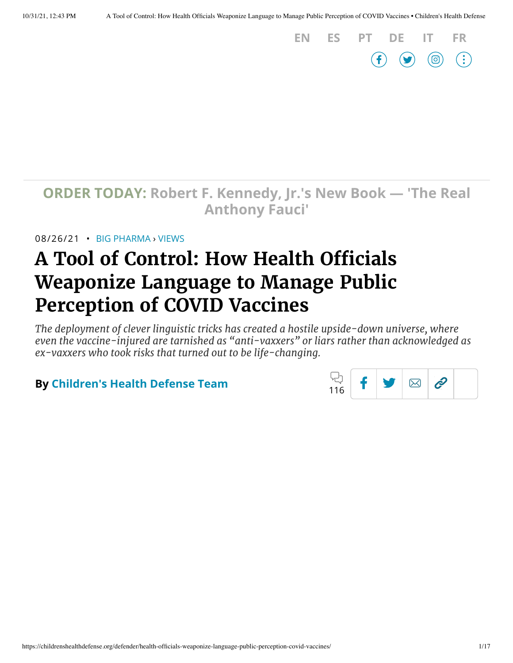**[EN](https://childrenshealthdefense.org/defender/health-officials-weaponize-language-public-perception-covid-vaccines/) [ES](https://childrenshealthdefense.org/defender/una-herramienta-de-control-como-los-funcionarios-de-sanidad-utilizan-el-lenguaje-para-gestionar-la-percepcion-publica-de-las-vacunas-covid/?lang=es) [PT](https://childrenshealthdefense.org/defender/uma-ferramenta-de-controle-como-autoridades-de-saude-utilizam-a-linguagem-para-moldar-a-percepcao-do-publico-sobre-as-vacinas-de-covid/?lang=pt-br) [DE](https://childrenshealthdefense.org/defender/ein-instrument-der-kontrolle-wie-gesundheitsfunktionaere-die-sprache-zur-waffe-machen-um-die-auffassung-der-oeffentlichkeit-ueber-covid-impfstoffe-zu-manipulieren/?lang=de) [IT](https://childrenshealthdefense.org/defender/uno-strumento-di-controllo-come-i-funzionari-sanitari-usano-larma-del-linguaggio-per-gestire-la-percezione-pubblica-dei-vaccini-covid/?lang=it) [FR](https://childrenshealthdefense.org/defender/un-outil-de-controle-comment-les-responsables-de-la-sante-utilisent-ils-le-langage-pour-gerer-la-perception-du-public-a-legard-des-vaccins-contre-la-covid-19/?lang=fr)**

 $\left( \vdots \right)$ 

(ම)



### 08/26/21 • BIG [PHARMA](https://childrenshealthdefense.org/defender_category/big-pharma) › [VIEWS](https://childrenshealthdefense.org/defender-views)

# **A Tool of Control: How Health Officials Weaponize Language to Manage Public Perception of COVID Vaccines**

*The deployment of clever linguistic tricks has created a hostile upside-down universe, where even the vaccine-injured are tarnished as "anti-vaxxers" or liars rather than acknowledged as ex-vaxxers who took risks that turned out to be life-changing.*

## **By Children's Health [Defense Team](https://childrenshealthdefense.org/authors/childrens-health-defense-team/)**

| 116 | <b>STATE</b> | ⋝ | P |  |
|-----|--------------|---|---|--|
|-----|--------------|---|---|--|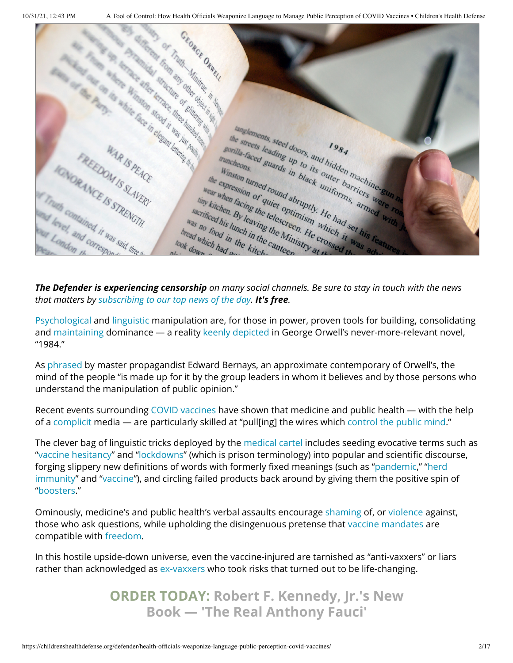

*The Defender is experiencing censorship on many social channels. Be sure to stay in touch with the news that matters by [subscribing](https://childrenshealthdefense.org/about-us/sign-up/?utm_source=top_of_article&utm_medium=the_defender&utm_campaign=sign_ups) to our top news of the day. It's free.*

[Psychological](https://breggin.com/fauci-wants-you-scared-anxious-and-compliant-its-scientific/) and [linguistic](https://www.rt.com/op-ed/527285-cia-covert-overt-media-manipulation/) manipulation are, for those in power, proven tools for building, consolidating and [maintaining](https://oxfordre.com/communication/view/10.1093/acrefore/9780190228613.001.0001/acrefore-9780190228613-e-436) dominance — a reality keenly [depicted](https://www.languagetrainers.com/blog/2016/07/25/orwell-gets-it-right-how-language-manipulates-and-controls/) in George Orwell's never-more-relevant novel, "1984."

As [phrased](https://www.goodreads.com/work/quotes/481391-propaganda) by master propagandist Edward Bernays, an approximate contemporary of Orwell's, the mind of the people "is made up for it by the group leaders in whom it believes and by those persons who understand the manipulation of public opinion."

Recent events surrounding COVID [vaccines](https://childrenshealthdefense.org/defender_category/covid/) have shown that medicine and public health — with the help of a [complicit](https://childrenshealthdefense.org/defender/rfk-jr-report-truth-about-covid-vaccine-risks-injuries-deaths/) media — are particularly skilled at "pull[ing] the wires which control the [public mind](https://www.goodreads.com/work/quotes/481391-propaganda)."

The clever bag of linguistic tricks deployed by the [medical](https://blog.nomorefakenews.com/2020/01/07/message-to-americans-from-the-medical-cartel/) cartel includes seeding evocative terms such as "vaccine [hesitancy](https://pubmed.ncbi.nlm.nih.gov/25896383/)" and "[lockdowns](https://pubmed.ncbi.nlm.nih.gov/32495067/)" (which is prison terminology) into popular and scientific discourse, forging slippery new definitions of words with formerly fixed meanings (such as "[pandemic](https://childrenshealthdefense.org/defender/violating-science-who-changes-meaning-herd-immunity/)," "herd immunity" and "[vaccine](https://vaccineimpact.com/2021/the-evolving-definition-of-vaccine-in-the-merriam-webster-dictionary-for-2021/)"), and circling failed products [back around by](https://www.aier.org/article/who-deletes-naturally-acquired-immunity-from-its-website/) giving them the positive spin of "[boosters.](https://childrenshealthdefense.org/defender/covid-booster-shots-8-months-after-second-dose/)"

Ominously, medicine's and public health's verbal assaults encourage [shaming](https://childrenshealthdefense.org/defender/health-officials-mainstream-media-coercion-unvaccinated/) of, or [violence](https://www.crisismagazine.com/2021/will-the-unvaccinated-be-saved) against, those who ask questions, while upholding the disingenuous pretense that vaccine [mandates](https://childrenshealthdefense.org/defender/vaccine-mandates-an-erosion-of-civil-rights-chd-e-book-available-now/) are compatible with [freedom.](https://www.foxnews.com/media/fauci-vaccine-mandates-freedom-crisis)

In this hostile upside-down universe, even the vaccine-injured are tarnished as "anti-vaxxers" or liars rather than acknowledged as [ex-vaxxers](https://childrenshealthdefense.org/news/once-burned-twice-shy-why-anti-vaxxers-are-really-ex-vaxxers/) who took risks that turned out to be life-changing.

> **ORDER TODAY: Robert F. Kennedy, Jr.'s New Book — 'The [Real Anthony](https://www.amazon.com/Real-Anthony-Fauci-Democracy-Childrens/dp/1510766804) Fauci'**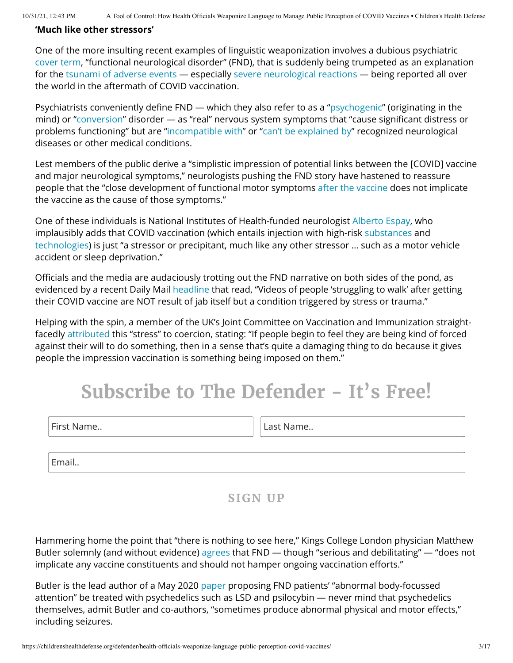#### **'Much like other stressors'**

One of the more insulting recent examples of linguistic weaponization involves a dubious psychiatric [cover](https://neuro.psychiatryonline.org/doi/10.1176/appi.neuropsych.21050116) term, "functional neurological disorder" (FND), that is suddenly being trumpeted as an explanation for the [tsunami](https://childrenshealthdefense.org/defender/vaccine-injuries-regulatory-agencies-hiding-covid-safety-data/) of adverse events — especially severe [neurological](https://thehighwire.com/videos/the-vaccine-injured-unite/) reactions — being reported all over the world in the aftermath of COVID vaccination.

Psychiatrists conveniently define FND — which they also refer to as a ["psychogenic"](https://www.merriam-webster.com/dictionary/psychogenic) (originating in the mind) or "[conversion"](https://www.webmd.com/mental-health/what-is-conversion-disorder) disorder — as "real" nervous system symptoms that "cause significant distress or problems functioning" but are "[incompatible](https://www.ncbi.nlm.nih.gov/pmc/articles/PMC7225815/) with" or "can't be [explained by"](https://www.mayoclinic.org/diseases-conditions/conversion-disorder/symptoms-causes/syc-20355197) recognized neurological diseases or other medical conditions.

Lest members of the public derive a "simplistic impression of potential links between the [COVID] vaccine and major neurological symptoms," neurologists pushing the FND story have hastened to reassure people that the "close development of functional motor symptoms after the [vaccine](https://www.medpagetoday.com/neurology/generalneurology/94151) does not implicate the vaccine as the cause of those symptoms."

One of these individuals is National Institutes of Health-funded neurologist [Alberto](https://researchdirectory.uc.edu/p/espayaj) Espay, who implausibly adds that COVID vaccination (which entails injection with high-risk [substances](https://childrenshealthdefense.org/press-release/fda-ignores-rfk-jr-s-pleas-for-vaccine-safety-oversight-concerning-peg-suspected-to-cause-anaphylaxis/) and [technologies\)](https://childrenshealthdefense.org/news/vaccine-safety/covid-19-the-spearpoint-for-rolling-out-a-new-era-of-high-risk-genetically-engineered-vaccines/) is just "a stressor or precipitant, much like any other stressor … such as a motor vehicle accident or sleep deprivation."

Officials and the media are audaciously trotting out the FND narrative on both sides of the pond, as evidenced by a recent Daily Mail [headline](https://www.dailymail.co.uk/news/article-9825965/Videos-people-struggling-walk-getting-Covid-vaccine-NOT-result-jab.html) that read, "Videos of people 'struggling to walk' after getting their COVID vaccine are NOT result of jab itself but a condition triggered by stress or trauma."

Helping with the spin, a member of the UK's Joint Committee on Vaccination and Immunization straightfacedly [attributed](https://www.dailymail.co.uk/news/article-9825965/Videos-people-struggling-walk-getting-Covid-vaccine-NOT-result-jab.html) this "stress" to coercion, stating: "If people begin to feel they are being kind of forced against their will to do something, then in a sense that's quite a damaging thing to do because it gives people the impression vaccination is something being imposed on them."

# **Subscribe to The Defender - It's Free!**

Last Name..

Email..

## **SIGN UP**

Hammering home the point that "there is nothing to see here," Kings College London physician Matthew Butler solemnly (and without evidence) [agrees](https://www.medpagetoday.com/neurology/generalneurology/94151) that FND — though "serious and debilitating" — "does not implicate any vaccine constituents and should not hamper ongoing vaccination efforts."

Butler is the lead author of a May 2020 [paper](https://www.ncbi.nlm.nih.gov/pmc/articles/PMC7225815/) proposing FND patients' "abnormal body-focussed attention" be treated with psychedelics such as LSD and psilocybin — never mind that psychedelics themselves, admit Butler and co-authors, "sometimes produce abnormal physical and motor effects," including seizures.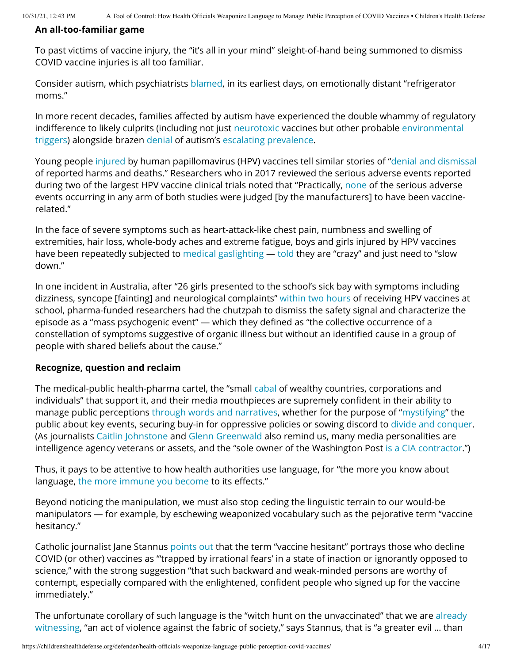#### **An all-too-familiar game**

To past victims of vaccine injury, the "it's all in your mind" sleight-of-hand being summoned to dismiss COVID vaccine injuries is all too familiar.

Consider autism, which psychiatrists [blamed,](https://childrenshealthdefense.org/news/the-autism-blame-game-this-time-its-the-womb/) in its earliest days, on emotionally distant "refrigerator moms."

In more recent decades, families affected by autism have experienced the double whammy of regulatory indifference to likely culprits (including not just [neurotoxic](https://childrenshealthdefense.org/news/regulators-remain-indifferent-to-unsafe-levels-of-aluminum-in-vaccines/) vaccines but other probable [environmental](https://childrenshealthdefense.org/news/childhood-cancers-autism-environmental-toxins/) triggers) alongside brazen [denial](https://childrenshealthdefense.org/news/thousand-fold-increase-in-autism-prevalence-since-the-1930s/) of autism's escalating [prevalence](https://childrenshealthdefense.org/defender/lawsuit-merck-gardasil-hpv-vaccine-injuries/).

Young people [injured](https://childrenshealthdefense.org/defender/lawsuit-merck-gardasil-hpv-vaccine-injuries/) by human papillomavirus (HPV) vaccines tell similar stories of "denial [and dismissal](https://childrenshealthdefense.org/store/products/hpv-vaccine-on-trial-seeking-justice-for-a-generation-betrayed/) of reported harms and deaths." Researchers who in 2017 reviewed the serious adverse events reported during two of the largest HPV vaccine clinical trials noted that "Practically, [none](https://pubmed.ncbi.nlm.nih.gov/28730271/) of the serious adverse events occurring in any arm of both studies were judged [by the manufacturers] to have been vaccinerelated."

In the face of severe symptoms such as heart-attack-like chest pain, numbness and swelling of extremities, hair loss, whole-body aches and extreme fatigue, boys and girls injured by HPV vaccines have been repeatedly subjected to medical [gaslighting](https://www.medicalnewstoday.com/articles/gaslighting#gaslighting-examples) — [told](https://www.nvic.org/vaccines-and-diseases/HPV/gabrielle.aspx) they are "crazy" and just need to "slow down."

In one incident in Australia, after "26 girls presented to the school's sick bay with symptoms including dizziness, syncope [fainting] and neurological complaints" [within](https://www.mja.com.au/system/files/issues/189_05_010908/but10172_fm.pdf) two hours of receiving HPV vaccines at school, pharma-funded researchers had the chutzpah to dismiss the safety signal and characterize the episode as a "mass psychogenic event" — which they defined as "the collective occurrence of a constellation of symptoms suggestive of organic illness but without an identified cause in a group of people with shared beliefs about the cause."

### **Recognize, question and reclaim**

The medical-public health-pharma cartel, the "small [cabal](https://www.biznews.com/thought-leaders/2021/07/09/world-health-organisation) of wealthy countries, corporations and individuals" that support it, and their media mouthpieces are supremely confident in their ability to manage public perceptions through words [and narratives](https://oxfordre.com/communication/view/10.1093/acrefore/9780190228613.001.0001/acrefore-9780190228613-e-436), whether for the purpose of ["mystifying"](https://www.arcjournals.org/pdfs/ijsell/v3-i7/3.pdf) the public about key events, securing buy-in for oppressive policies or sowing discord to divide [and conquer.](https://www.scientificamerican.com/podcast/episode/divide-and-conquer-could-be-good-covid-strategy/) (As journalists Caitlin [Johnstone](https://www.rt.com/op-ed/527285-cia-covert-overt-media-manipulation/) and Glenn [Greenwald](https://www.realclearpolitics.com/video/2021/06/18/greenwald_fbi_involvement_in_capitol_riot_not_a_crazy_conspiracy_theory_this_is_what_they_do.html) also remind us, many media personalities are intelligence agency veterans or assets, and the "sole owner of the Washington Post is a CIA [contractor.](https://www.huffpost.com/entry/why-amazons-collaboration_b_4824854)")

Thus, it pays to be attentive to how health authorities use language, for "the more you know about language, the more [immune](https://www.writerscookbook.com/media-uses-language-manipulate/) you become to its effects."

Beyond noticing the manipulation, we must also stop ceding the linguistic terrain to our would-be manipulators — for example, by eschewing weaponized vocabulary such as the pejorative term "vaccine hesitancy."

Catholic journalist Jane Stannus [points](https://www.crisismagazine.com/2021/will-the-unvaccinated-be-saved) out that the term "vaccine hesitant" portrays those who decline COVID (or other) vaccines as "'trapped by irrational fears' in a state of inaction or ignorantly opposed to science," with the strong suggestion "that such backward and weak-minded persons are worthy of contempt, especially compared with the enlightened, confident people who signed up for the vaccine immediately."

The unfortunate corollary of such language is the "witch hunt on the [unvaccinated"](https://childrenshealthdefense.org/defender/health-officials-mainstream-media-coercion-unvaccinated/) that we are already witnessing, "an act of violence against the fabric of society," says Stannus, that is "a greater evil … than